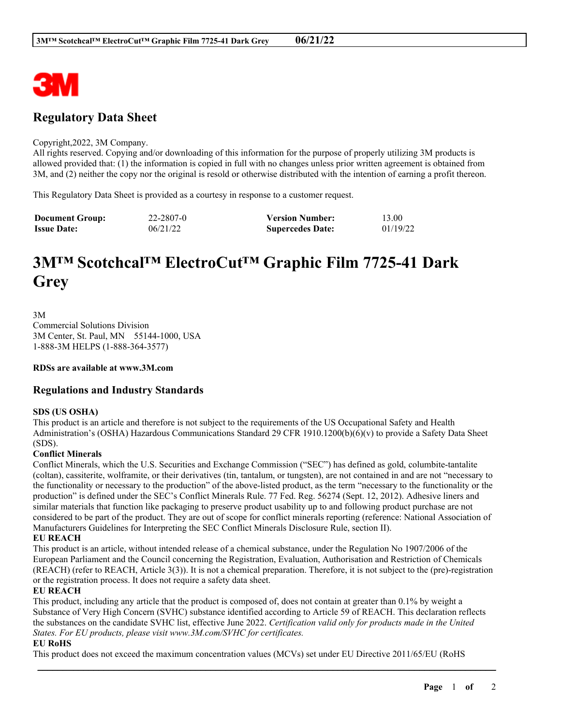

## **Regulatory Data Sheet**

#### Copyright,2022, 3M Company.

All rights reserved. Copying and/or downloading of this information for the purpose of properly utilizing 3M products is allowed provided that: (1) the information is copied in full with no changes unless prior written agreement is obtained from 3M, and (2) neither the copy nor the original is resold or otherwise distributed with the intention of earning a profit thereon.

This Regulatory Data Sheet is provided as a courtesy in response to a customer request.

| <b>Document Group:</b> | 22-2807-0 | <b>Version Number:</b>  | 13.00    |
|------------------------|-----------|-------------------------|----------|
| <b>Issue Date:</b>     | 06/21/22  | <b>Supercedes Date:</b> | 01/19/22 |

# **3M™ Scotchcal™ ElectroCut™ Graphic Film 7725-41 Dark Grey**

3M Commercial Solutions Division 3M Center, St. Paul, MN 55144-1000, USA 1-888-3M HELPS (1-888-364-3577)

**RDSs are available at www.3M.com**

### **Regulations and Industry Standards**

#### **SDS (US OSHA)**

This product is an article and therefore is not subject to the requirements of the US Occupational Safety and Health Administration's (OSHA) Hazardous Communications Standard 29 CFR 1910.1200(b)(6)(v) to provide a Safety Data Sheet (SDS).

#### **Conflict Minerals**

Conflict Minerals, which the U.S. Securities and Exchange Commission ("SEC") has defined as gold, columbite-tantalite (coltan), cassiterite, wolframite, or their derivatives (tin, tantalum, or tungsten), are not contained in and are not "necessary to the functionality or necessary to the production" of the above-listed product, as the term "necessary to the functionality or the production" is defined under the SEC's Conflict Minerals Rule. 77 Fed. Reg. 56274 (Sept. 12, 2012). Adhesive liners and similar materials that function like packaging to preserve product usability up to and following product purchase are not considered to be part of the product. They are out of scope for conflict minerals reporting (reference: National Association of Manufacturers Guidelines for Interpreting the SEC Conflict Minerals Disclosure Rule, section II).

#### **EU REACH**

This product is an article, without intended release of a chemical substance, under the Regulation No 1907/2006 of the European Parliament and the Council concerning the Registration, Evaluation, Authorisation and Restriction of Chemicals (REACH) (refer to REACH, Article 3(3)). It is not a chemical preparation. Therefore, it is not subject to the (pre)-registration or the registration process. It does not require a safety data sheet.

#### **EU REACH**

This product, including any article that the product is composed of, does not contain at greater than 0.1% by weight a Substance of Very High Concern (SVHC) substance identified according to Article 59 of REACH. This declaration reflects the substances on the candidate SVHC list, effective June 2022. *Certification valid only for products made in the United States. For EU products, please visit www.3M.com/SVHC for certificates.*

\_\_\_\_\_\_\_\_\_\_\_\_\_\_\_\_\_\_\_\_\_\_\_\_\_\_\_\_\_\_\_\_\_\_\_\_\_\_\_\_\_\_\_\_\_\_\_\_\_\_\_\_\_\_\_\_\_\_\_\_\_\_\_\_\_\_\_\_\_\_\_\_\_\_\_\_\_\_\_\_\_\_\_\_\_\_\_\_\_\_

#### **EU RoHS**

This product does not exceed the maximum concentration values (MCVs) set under EU Directive 2011/65/EU (RoHS